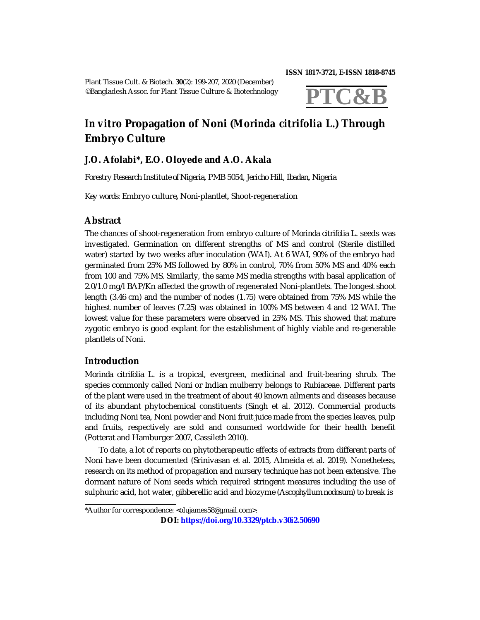**ISSN 1817-3721, E-ISSN 1818-8745** 

Plant Tissue Cult. & Biotech. **30**(2): 199-207, 2020 (December) ©Bangladesh Assoc. for Plant Tissue Culture & Biotechnology



# *In vitro* **Propagation of Noni (***Morinda citrifolia* **L.) Through Embryo Culture**

## **J.O. Afolabi\*, E.O. Oloyede and A.O. Akala**

*Forestry Research Institute of Nigeria, PMB 5054, Jericho Hill, Ibadan, Nigeria*

*Key words:* Embryo culture**,** Noni-plantlet, Shoot-regeneration

## **Abstract**

The chances of shoot-regeneration from embryo culture of *Morinda citrifolia* L. seeds was investigated. Germination on different strengths of MS and control (Sterile distilled water) started by two weeks after inoculation (WAI). At 6 WAI, 90% of the embryo had germinated from 25% MS followed by 80% in control, 70% from 50% MS and 40% each from 100 and 75% MS. Similarly, the same MS media strengths with basal application of 2.0/1.0 mg/l BAP/Kn affected the growth of regenerated Noni-plantlets. The longest shoot length (3.46 cm) and the number of nodes (1.75) were obtained from 75% MS while the highest number of leaves (7.25) was obtained in 100% MS between 4 and 12 WAI. The lowest value for these parameters were observed in 25% MS. This showed that mature zygotic embryo is good explant for the establishment of highly viable and re-generable plantlets of Noni.

## **Introduction**

*Morinda citrifolia* L. is a tropical, evergreen, medicinal and fruit-bearing shrub. The species commonly called Noni or Indian mulberry belongs to Rubiaceae. Different parts of the plant were used in the treatment of about 40 known ailments and diseases because of its abundant phytochemical constituents (Singh et al. 2012). Commercial products including Noni tea, Noni powder and Noni fruit juice made from the species leaves, pulp and fruits, respectively are sold and consumed worldwide for their health benefit (Potterat and Hamburger 2007, Cassileth 2010).

To date, a lot of reports on phytotherapeutic effects of extracts from different parts of Noni have been documented (Srinivasan et al. 2015, Almeida et al. 2019). Nonetheless, research on its method of propagation and nursery technique has not been extensive. The dormant nature of Noni seeds which required stringent measures including the use of sulphuric acid, hot water, gibberellic acid and biozyme (*Ascophyllum nodosum*) to break is

**DOI: <https://doi.org/10.3329/ptcb.v30i2.50690>**

<sup>\*</sup>Author for correspondence: <[olujames58@gmail.com](mailto:olujames58@gmail.com)>.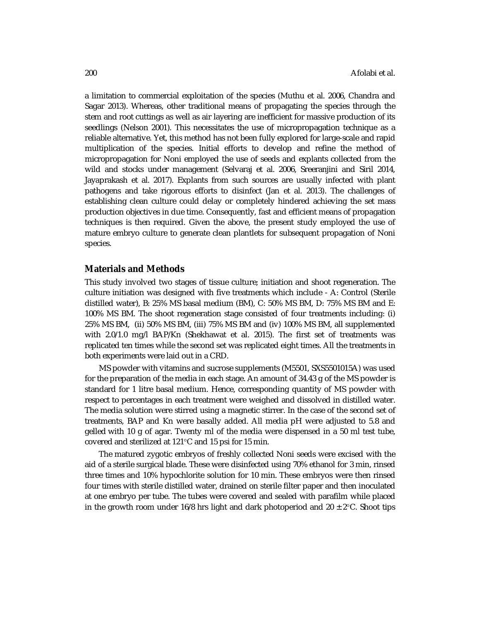a limitation to commercial exploitation of the species (Muthu et al. 2006, Chandra and Sagar 2013). Whereas, other traditional means of propagating the species through the stem and root cuttings as well as air layering are inefficient for massive production of its seedlings (Nelson 2001). This necessitates the use of micropropagation technique as a reliable alternative. Yet, this method has not been fully explored for large-scale and rapid multiplication of the species. Initial efforts to develop and refine the method of micropropagation for Noni employed the use of seeds and explants collected from the wild and stocks under management (Selvaraj et al. 2006, Sreeranjini and Siril 2014, Jayaprakash et al. 2017). Explants from such sources are usually infected with plant pathogens and take rigorous efforts to disinfect (Jan et al. 2013). The challenges of establishing clean culture could delay or completely hindered achieving the set mass production objectives in due time. Consequently, fast and efficient means of propagation techniques is then required. Given the above, the present study employed the use of mature embryo culture to generate clean plantlets for subsequent propagation of Noni species.

#### **Materials and Methods**

This study involved two stages of tissue culture; initiation and shoot regeneration. The culture initiation was designed with five treatments which include - A: Control (Sterile distilled water), B: 25% MS basal medium (BM), C: 50% MS BM, D: 75% MS BM and E: 100% MS BM. The shoot regeneration stage consisted of four treatments including: (i) 25% MS BM, (ii) 50% MS BM, (iii) 75% MS BM and (iv) 100% MS BM, all supplemented with 2.0/1.0 mg/l BAP/Kn (Shekhawat et al. 2015). The first set of treatments was replicated ten times while the second set was replicated eight times. All the treatments in both experiments were laid out in a CRD.

MS powder with vitamins and sucrose supplements (M5501, SXS5501015A) was used for the preparation of the media in each stage. An amount of 34.43 g of the MS powder is standard for 1 litre basal medium. Hence, corresponding quantity of MS powder with respect to percentages in each treatment were weighed and dissolved in distilled water. The media solution were stirred using a magnetic stirrer. In the case of the second set of treatments, BAP and Kn were basally added. All media pH were adjusted to 5.8 and gelled with 10 g of agar. Twenty ml of the media were dispensed in a 50 ml test tube, covered and sterilized at 121°C and 15 psi for 15 min.

The matured zygotic embryos of freshly collected Noni seeds were excised with the aid of a sterile surgical blade. These were disinfected using 70% ethanol for 3 min, rinsed three times and 10% hypochlorite solution for 10 min. These embryos were then rinsed four times with sterile distilled water, drained on sterile filter paper and then inoculated at one embryo per tube. The tubes were covered and sealed with parafilm while placed in the growth room under 16/8 hrs light and dark photoperiod and  $20 \pm 2^{\circ}$ C. Shoot tips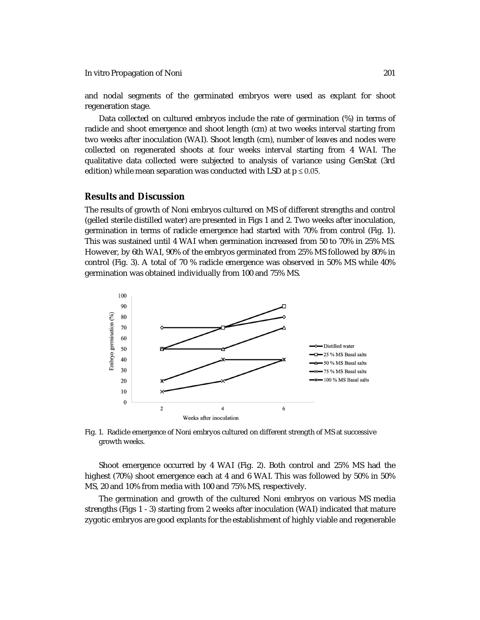and nodal segments of the germinated embryos were used as explant for shoot regeneration stage.

Data collected on cultured embryos include the rate of germination (%) in terms of radicle and shoot emergence and shoot length (cm) at two weeks interval starting from two weeks after inoculation (WAI). Shoot length (cm), number of leaves and nodes were collected on regenerated shoots at four weeks interval starting from 4 WAI. The qualitative data collected were subjected to analysis of variance using GenStat (3rd edition) while mean separation was conducted with LSD at  $p \le 0.05$ .

#### **Results and Discussion**

The results of growth of Noni embryos cultured on MS of different strengths and control (gelled sterile distilled water) are presented in Figs 1 and 2. Two weeks after inoculation, germination in terms of radicle emergence had started with 70% from control (Fig. 1). This was sustained until 4 WAI when germination increased from 50 to 70% in 25% MS. However, by 6th WAI, 90% of the embryos germinated from 25% MS followed by 80% in control (Fig. 3). A total of 70 % radicle emergence was observed in 50% MS while 40% germination was obtained individually from 100 and 75% MS.



Fig. 1. Radicle emergence of Noni embryos cultured on different strength of MS at successive growth weeks.

Shoot emergence occurred by 4 WAI (Fig. 2). Both control and 25% MS had the highest (70%) shoot emergence each at 4 and 6 WAI. This was followed by 50% in 50% MS, 20 and 10% from media with 100 and 75% MS, respectively.

The germination and growth of the cultured Noni embryos on various MS media strengths (Figs 1 - 3) starting from 2 weeks after inoculation (WAI) indicated that mature zygotic embryos are good explants for the establishment of highly viable and regenerable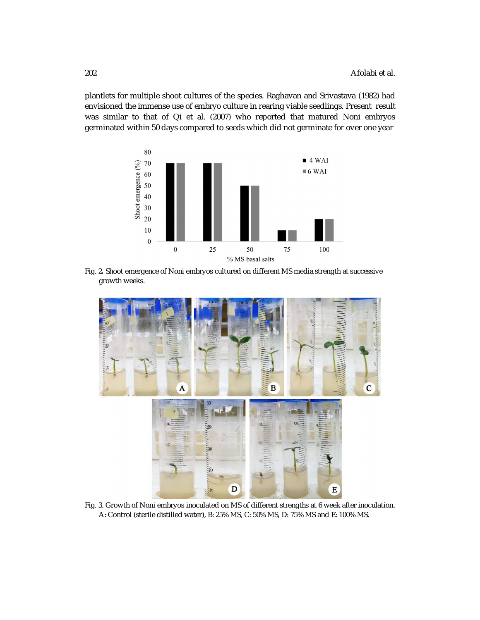plantlets for multiple shoot cultures of the species. Raghavan and Srivastava (1982) had envisioned the immense use of embryo culture in rearing viable seedlings. Present result was similar to that of Qi et al. (2007) who reported that matured Noni embryos germinated within 50 days compared to seeds which did not germinate for over one year



Fig. 2**.** Shoot emergence of Noni embryos cultured on different MS media strength at successive growth weeks.



Fig. 3. Growth of Noni embryos inoculated on MS of different strengths at 6 week after inoculation. A: Control (sterile distilled water), B: 25% MS, C: 50% MS, D: 75% MS and E: 100% MS.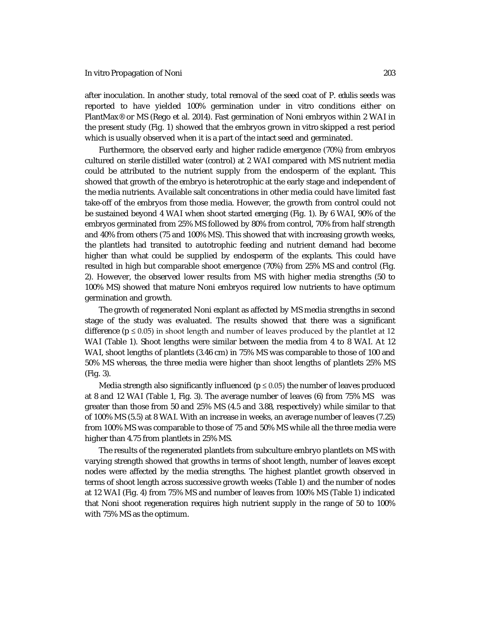after inoculation. In another study, total removal of the seed coat of *P. edulis* seeds was reported to have yielded 100% germination under *in vitro* conditions either on PlantMax® or MS (Rego et al. 2014). Fast germination of Noni embryos within 2 WAI in the present study (Fig. 1) showed that the embryos grown *in vitro* skipped a rest period which is usually observed when it is a part of the intact seed and germinated.

Furthermore, the observed early and higher radicle emergence (70%) from embryos cultured on sterile distilled water (control) at 2 WAI compared with MS nutrient media could be attributed to the nutrient supply from the endosperm of the explant. This showed that growth of the embryo is heterotrophic at the early stage and independent of the media nutrients. Available salt concentrations in other media could have limited fast take-off of the embryos from those media. However, the growth from control could not be sustained beyond 4 WAI when shoot started emerging (Fig. 1). By 6 WAI, 90% of the embryos germinated from 25% MS followed by 80% from control, 70% from half strength and 40% from others (75 and 100% MS). This showed that with increasing growth weeks, the plantlets had transited to autotrophic feeding and nutrient demand had become higher than what could be supplied by endosperm of the explants. This could have resulted in high but comparable shoot emergence (70%) from 25% MS and control (Fig. 2). However, the observed lower results from MS with higher media strengths (50 to 100% MS) showed that mature Noni embryos required low nutrients to have optimum germination and growth.

The growth of regenerated Noni explant as affected by MS media strengths in second stage of the study was evaluated. The results showed that there was a significant difference ( $p \le 0.05$ ) in shoot length and number of leaves produced by the plantlet at 12 WAI (Table 1). Shoot lengths were similar between the media from 4 to 8 WAI. At 12 WAI, shoot lengths of plantlets (3.46 cm) in 75% MS was comparable to those of 100 and 50% MS whereas, the three media were higher than shoot lengths of plantlets 25% MS (Fig. 3).

Media strength also significantly influenced ( $p \le 0.05$ ) the number of leaves produced at 8 and 12 WAI (Table 1, Fig. 3). The average number of leaves (6) from 75% MS was greater than those from 50 and 25% MS (4.5 and 3.88, respectively) while similar to that of 100% MS (5.5) at 8 WAI. With an increase in weeks, an average number of leaves (7.25) from 100% MS was comparable to those of 75 and 50% MS while all the three media were higher than 4.75 from plantlets in 25% MS.

The results of the regenerated plantlets from subculture embryo plantlets on MS with varying strength showed that growths in terms of shoot length, number of leaves except nodes were affected by the media strengths. The highest plantlet growth observed in terms of shoot length across successive growth weeks (Table 1) and the number of nodes at 12 WAI (Fig. 4) from 75% MS and number of leaves from 100% MS (Table 1) indicated that Noni shoot regeneration requires high nutrient supply in the range of 50 to 100% with 75% MS as the optimum.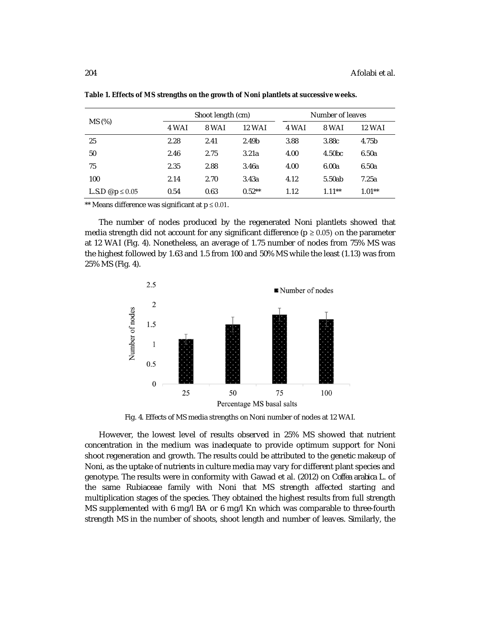| MS (%)                       | Shoot length (cm) |       |          | Number of leaves |                    |               |
|------------------------------|-------------------|-------|----------|------------------|--------------------|---------------|
|                              | 4 WAI             | 8 WAI | 12 WAI   | 4 WAI            | 8 WAI              | <b>12 WAI</b> |
| 25                           | 2.28              | 2.41  | 2.49b    | 3.88             | 3.88c              | 4.75b         |
| 50                           | 2.46              | 2.75  | 3.21a    | 4.00             | 4.50 <sub>bc</sub> | 6.50a         |
| 75                           | 2.35              | 2.88  | 3.46a    | 4.00             | 6.00a              | 6.50a         |
| 100                          | 2.14              | 2.70  | 3.43a    | 4.12             | 5.50ab             | 7.25a         |
| L.S.D $\omega$ p $\leq 0.05$ | 0.54              | 0.63  | $0.52**$ | 1.12             | $1.11***$          | $1.01**$      |

**Table 1. Effects of MS strengths on the growth of Noni plantlets at successive weeks.** 

\*\* Means difference was significant at  $p \le 0.01$ .

The number of nodes produced by the regenerated Noni plantlets showed that media strength did not account for any significant difference ( $p \ge 0.05$ ) on the parameter at 12 WAI (Fig. 4). Nonetheless, an average of 1.75 number of nodes from 75% MS was the highest followed by 1.63 and 1.5 from 100 and 50% MS while the least (1.13) was from 25% MS (Fig. 4).



Fig. 4. Effects of MS media strengths on Noni number of nodes at 12 WAI.

However, the lowest level of results observed in 25% MS showed that nutrient concentration in the medium was inadequate to provide optimum support for Noni shoot regeneration and growth. The results could be attributed to the genetic makeup of Noni, as the uptake of nutrients in culture media may vary for different plant species and genotype. The results were in conformity with Gawad et al. (2012) on *Coffea arabica* L. of the same Rubiaceae family with Noni that MS strength affected starting and multiplication stages of the species. They obtained the highest results from full strength MS supplemented with 6 mg/l BA or 6 mg/l Kn which was comparable to three-fourth strength MS in the number of shoots, shoot length and number of leaves. Similarly, the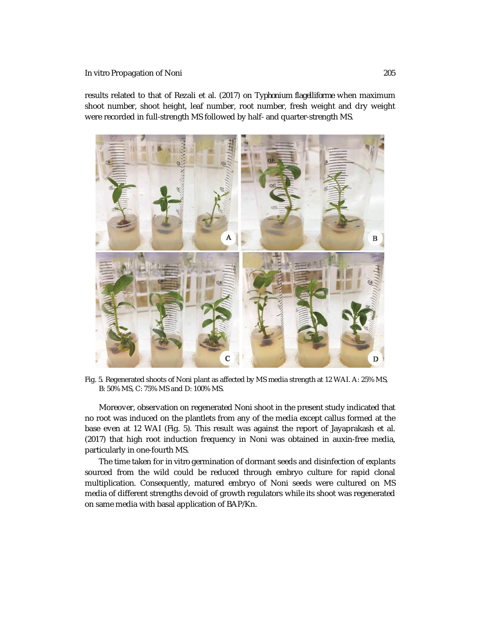results related to that of Rezali et al. (2017) on *Typhonium flagelliforme* when maximum shoot number, shoot height, leaf number, root number, fresh weight and dry weight were recorded in full-strength MS followed by half- and quarter-strength MS.



Fig. 5. Regenerated shoots of Noni plant as affected by MS media strength at 12 WAI. A: 25% MS, B: 50% MS, C: 75% MS and D: 100% MS.

Moreover, observation on regenerated Noni shoot in the present study indicated that no root was induced on the plantlets from any of the media except callus formed at the base even at 12 WAI (Fig. 5). This result was against the report of Jayaprakash et al. (2017) that high root induction frequency in Noni was obtained in auxin-free media, particularly in one-fourth MS.

The time taken for *in vitro* germination of dormant seeds and disinfection of explants sourced from the wild could be reduced through embryo culture for rapid clonal multiplication. Consequently, matured embryo of Noni seeds were cultured on MS media of different strengths devoid of growth regulators while its shoot was regenerated on same media with basal application of BAP/Kn.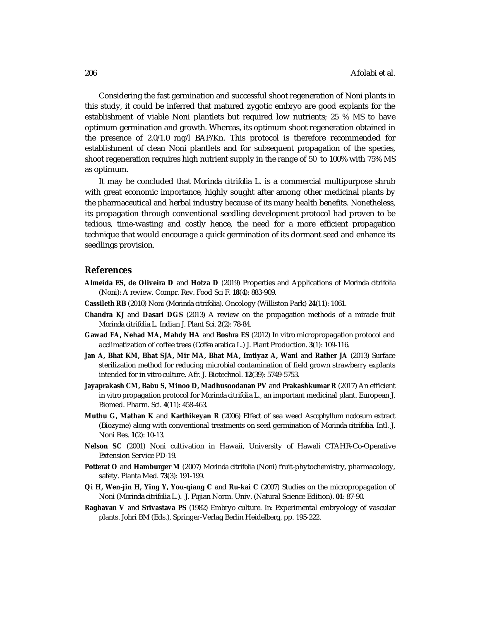Considering the fast germination and successful shoot regeneration of Noni plants in this study, it could be inferred that matured zygotic embryo are good explants for the establishment of viable Noni plantlets but required low nutrients; 25 % MS to have optimum germination and growth. Whereas, its optimum shoot regeneration obtained in the presence of 2.0/1.0 mg/l BAP/Kn. This protocol is therefore recommended for establishment of clean Noni plantlets and for subsequent propagation of the species, shoot regeneration requires high nutrient supply in the range of 50 to 100% with 75% MS as optimum.

It may be concluded that *Morinda citrifolia* L. is a commercial multipurpose shrub with great economic importance, highly sought after among other medicinal plants by the pharmaceutical and herbal industry because of its many health benefits. Nonetheless, its propagation through conventional seedling development protocol had proven to be tedious, time-wasting and costly hence, the need for a more efficient propagation technique that would encourage a quick germination of its dormant seed and enhance its seedlings provision.

#### **References**

- **Almeida ES, de Oliveira D** and **Hotza D** (2019) Properties and Applications of *Morinda citrifolia* (Noni): A review. Compr. Rev. Food Sci F. **18**(4): 883-909.
- **Cassileth RB** (2010) Noni (*Morinda citrifolia*). Oncology (Williston Park) **24**(11): 1061.
- **Chandra KJ** and **Dasari DGS** (2013) A review on the propagation methods of a miracle fruit *Morinda citrifolia* L. Indian J. Plant Sci. **2**(2): 78-84.
- **Gawad EA, Nehad MA, Mahdy HA** and **Boshra ES** (2012) *In vitro* micropropagation protocol and acclimatization of coffee trees (*Coffea arabica* L.) J. Plant Production. **3**(1): 109-116.
- **Jan A, Bhat KM, Bhat SJA, Mir MA, Bhat MA, Imtiyaz A, Wani** and **Rather JA** (2013) Surface sterilization method for reducing microbial contamination of field grown strawberry explants intended for *in vitro* culture. Afr. J. Biotechnol*.* **12**(39): 5749-5753.
- **Jayaprakash CM, Babu S, Minoo D, Madhusoodanan PV** and **Prakashkumar R** (2017) An efficient *in vitro* propagation protocol for *Morinda citrifolia* L., an important medicinal plant. European J. Biomed. Pharm. Sci. **4**(11): 458-463*.*
- **Muthu G, Mathan K** and **Karthikeyan R** (2006) Effect of sea weed *Ascophyllum nodosum* extract (Biozyme) along with conventional treatments on seed germination of *Morinda citrifolia.* Intl. J. Noni Res. **1**(2): 10-13.
- **Nelson SC** (2001) Noni cultivation in Hawaii, University of Hawali CTAHR-Co-Operative Extension Service PD-19.
- **Potterat O** and **Hamburger M** (2007) *Morinda citrifolia* (Noni) fruit-phytochemistry, pharmacology, safety. Planta Med. **73**(3): 191-199.
- **Qi H, Wen-jin H, Ying Y, You-qiang C** and **Ru-kai C** (2007) Studies on the micropropagation of Noni (*Morinda citrifolia* L.). J. Fujian Norm. Univ. (Natural Science Edition). **01**: 87-90.
- **Raghavan V** and **Srivastava PS** (1982) Embryo culture. *In:* Experimental embryology of vascular plants. Johri BM (Eds.), Springer-Verlag Berlin Heidelberg, pp. 195-222.